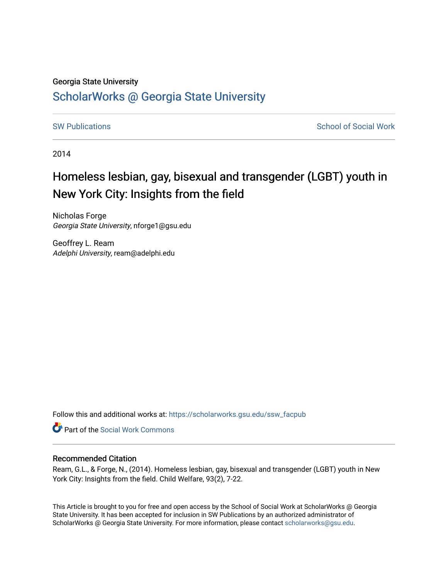#### Georgia State University

# [ScholarWorks @ Georgia State University](https://scholarworks.gsu.edu/)

[SW Publications](https://scholarworks.gsu.edu/ssw_facpub) **SW Publications** School of Social Work

2014

# Homeless lesbian, gay, bisexual and transgender (LGBT) youth in New York City: Insights from the field

Nicholas Forge Georgia State University, nforge1@gsu.edu

Geoffrey L. Ream Adelphi University, ream@adelphi.edu

Follow this and additional works at: [https://scholarworks.gsu.edu/ssw\\_facpub](https://scholarworks.gsu.edu/ssw_facpub?utm_source=scholarworks.gsu.edu%2Fssw_facpub%2F61&utm_medium=PDF&utm_campaign=PDFCoverPages)

**C** Part of the [Social Work Commons](http://network.bepress.com/hgg/discipline/713?utm_source=scholarworks.gsu.edu%2Fssw_facpub%2F61&utm_medium=PDF&utm_campaign=PDFCoverPages)

#### Recommended Citation

Ream, G.L., & Forge, N., (2014). Homeless lesbian, gay, bisexual and transgender (LGBT) youth in New York City: Insights from the field. Child Welfare, 93(2), 7-22.

This Article is brought to you for free and open access by the School of Social Work at ScholarWorks @ Georgia State University. It has been accepted for inclusion in SW Publications by an authorized administrator of ScholarWorks @ Georgia State University. For more information, please contact [scholarworks@gsu.edu](mailto:scholarworks@gsu.edu).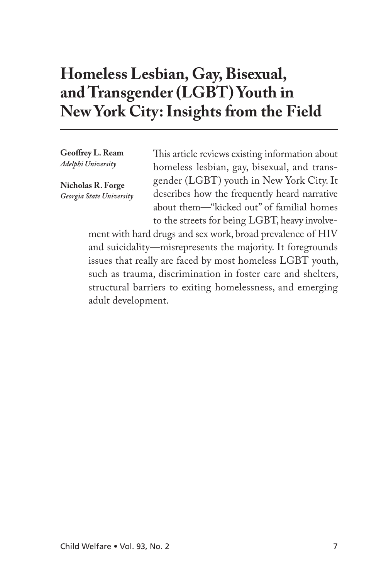# **Homeless Lesbian, Gay, Bisexual, and Transgender (LGBT) Youth in New York City: Insights from the Field**

**Geoffrey L. Ream** *Adelphi University*

**Nicholas R. Forge** *Georgia State University* This article reviews existing information about homeless lesbian, gay, bisexual, and transgender (LGBT) youth in New York City. It describes how the frequently heard narrative about them—"kicked out" of familial homes to the streets for being LGBT, heavy involve-

ment with hard drugs and sex work, broad prevalence of HIV and suicidality—misrepresents the majority. It foregrounds issues that really are faced by most homeless LGBT youth, such as trauma, discrimination in foster care and shelters, structural barriers to exiting homelessness, and emerging adult development.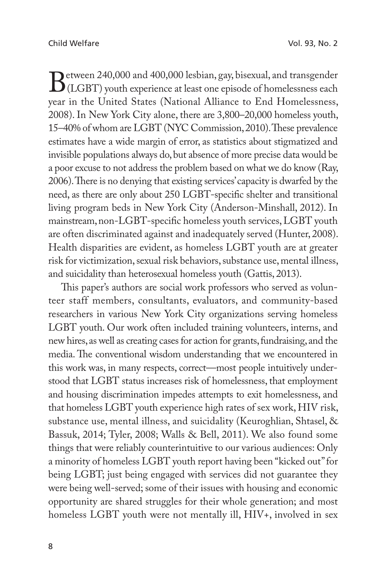Between 240,000 and 400,000 lesbian, gay, bisexual, and transgender<br>CLGBT) youth experience at least one episode of homelessness each<br>year in the United States (National Alliance to End Homelessness (LGBT) youth experience at least one episode of homelessness each year in the United States (National Alliance to End Homelessness, 2008). In New York City alone, there are 3,800–20,000 homeless youth, 15–40% of whom are LGBT (NYC Commission, 2010). These prevalence estimates have a wide margin of error, as statistics about stigmatized and invisible populations always do, but absence of more precise data would be a poor excuse to not address the problem based on what we do know (Ray, 2006). There is no denying that existing services' capacity is dwarfed by the need, as there are only about 250 LGBT-specific shelter and transitional living program beds in New York City (Anderson-Minshall, 2012). In mainstream, non-LGBT-specific homeless youth services, LGBT youth are often discriminated against and inadequately served (Hunter, 2008). Health disparities are evident, as homeless LGBT youth are at greater risk for victimization, sexual risk behaviors, substance use, mental illness, and suicidality than heterosexual homeless youth (Gattis, 2013).

This paper's authors are social work professors who served as volunteer staff members, consultants, evaluators, and community-based researchers in various New York City organizations serving homeless LGBT youth. Our work often included training volunteers, interns, and new hires, as well as creating cases for action for grants, fundraising, and the media. The conventional wisdom understanding that we encountered in this work was, in many respects, correct—most people intuitively understood that LGBT status increases risk of homelessness, that employment and housing discrimination impedes attempts to exit homelessness, and that homeless LGBT youth experience high rates of sex work, HIV risk, substance use, mental illness, and suicidality (Keuroghlian, Shtasel, & Bassuk, 2014; Tyler, 2008; Walls & Bell, 2011). We also found some things that were reliably counterintuitive to our various audiences: Only a minority of homeless LGBT youth report having been "kicked out" for being LGBT; just being engaged with services did not guarantee they were being well-served; some of their issues with housing and economic opportunity are shared struggles for their whole generation; and most homeless LGBT youth were not mentally ill, HIV+, involved in sex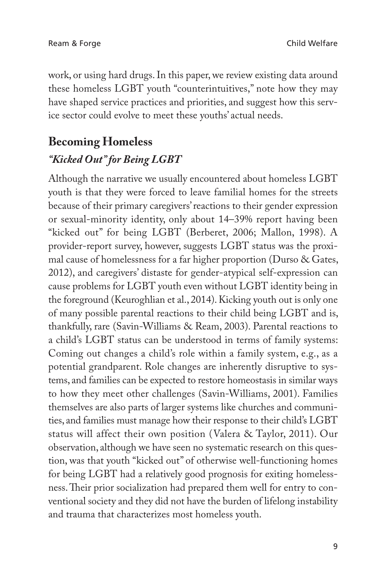work, or using hard drugs. In this paper, we review existing data around these homeless LGBT youth "counterintuitives," note how they may have shaped service practices and priorities, and suggest how this service sector could evolve to meet these youths' actual needs.

# **Becoming Homeless** *"Kicked Out" for Being LGBT*

Although the narrative we usually encountered about homeless LGBT youth is that they were forced to leave familial homes for the streets because of their primary caregivers' reactions to their gender expression or sexual-minority identity, only about 14–39% report having been "kicked out" for being LGBT (Berberet, 2006; Mallon, 1998). A provider-report survey, however, suggests LGBT status was the proximal cause of homelessness for a far higher proportion (Durso & Gates, 2012), and caregivers' distaste for gender-atypical self-expression can cause problems for LGBT youth even without LGBT identity being in the foreground (Keuroghlian et al., 2014). Kicking youth out is only one of many possible parental reactions to their child being LGBT and is, thankfully, rare (Savin-Williams & Ream, 2003). Parental reactions to a child's LGBT status can be understood in terms of family systems: Coming out changes a child's role within a family system, e.g., as a potential grandparent. Role changes are inherently disruptive to systems, and families can be expected to restore homeostasis in similar ways to how they meet other challenges (Savin-Williams, 2001). Families themselves are also parts of larger systems like churches and communities, and families must manage how their response to their child's LGBT status will affect their own position (Valera & Taylor, 2011). Our observation, although we have seen no systematic research on this question, was that youth "kicked out" of otherwise well-functioning homes for being LGBT had a relatively good prognosis for exiting homelessness. Their prior socialization had prepared them well for entry to conventional society and they did not have the burden of lifelong instability and trauma that characterizes most homeless youth.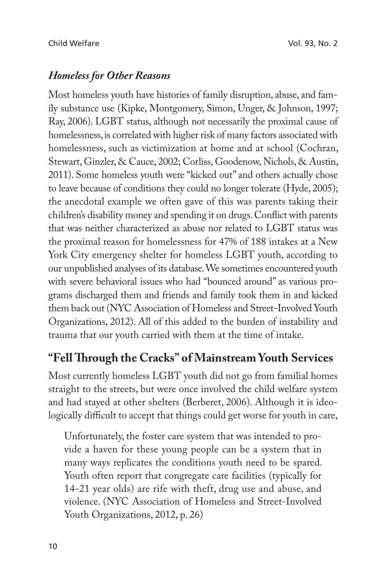## *Homeless for Other Reasons*

Most homeless youth have histories of family disruption, abuse, and family substance use (Kipke, Montgomery, Simon, Unger, & Johnson, 1997; Ray, 2006). LGBT status, although not necessarily the proximal cause of homelessness, is correlated with higher risk of many factors associated with homelessness, such as victimization at home and at school (Cochran, Stewart, Ginzler, & Cauce, 2002; Corliss, Goodenow, Nichols, & Austin, 2011). Some homeless youth were "kicked out" and others actually chose to leave because of conditions they could no longer tolerate (Hyde, 2005); the anecdotal example we often gave of this was parents taking their children's disability money and spending it on drugs. Conflict with parents that was neither characterized as abuse nor related to LGBT status was the proximal reason for homelessness for 47% of 188 intakes at a New York City emergency shelter for homeless LGBT youth, according to our unpublished analyses of its database. We sometimes encountered youth with severe behavioral issues who had "bounced around" as various programs discharged them and friends and family took them in and kicked them back out (NYC Association of Homeless and Street-Involved Youth Organizations, 2012). All of this added to the burden of instability and trauma that our youth carried with them at the time of intake.

# "Fell Through the Cracks" of Mainstream Youth Services

Most currently homeless LGBT youth did not go from familial homes straight to the streets, but were once involved the child welfare system and had stayed at other shelters (Berberet, 2006). Although it is ideologically difficult to accept that things could get worse for youth in care,

Unfortunately, the foster care system that was intended to provide a haven for these young people can be a system that in many ways replicates the conditions youth need to be spared. Youth often report that congregate care facilities (typically for 14-21 year olds) are rife with theft, drug use and abuse, and violence. (NYC Association of Homeless and Street-Involved Youth Organizations, 2012, p. 26)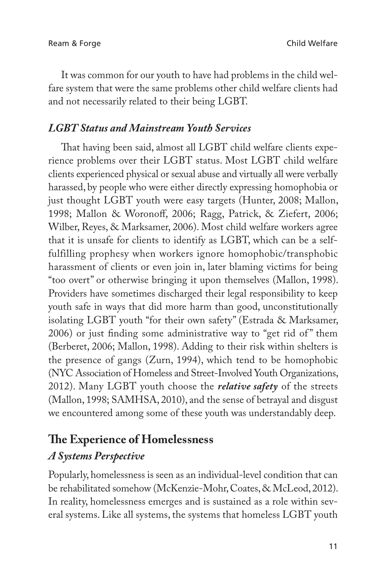It was common for our youth to have had problems in the child welfare system that were the same problems other child welfare clients had and not necessarily related to their being LGBT.

#### *LGBT Status and Mainstream Youth Services*

That having been said, almost all LGBT child welfare clients experience problems over their LGBT status. Most LGBT child welfare clients experienced physical or sexual abuse and virtually all were verbally harassed, by people who were either directly expressing homophobia or just thought LGBT youth were easy targets (Hunter, 2008; Mallon, 1998; Mallon & Woronoff, 2006; Ragg, Patrick, & Ziefert, 2006; Wilber, Reyes, & Marksamer, 2006). Most child welfare workers agree that it is unsafe for clients to identify as LGBT, which can be a selffulfilling prophesy when workers ignore homophobic/transphobic harassment of clients or even join in, later blaming victims for being "too overt" or otherwise bringing it upon themselves (Mallon, 1998). Providers have sometimes discharged their legal responsibility to keep youth safe in ways that did more harm than good, unconstitutionally isolating LGBT youth "for their own safety" (Estrada & Marksamer, 2006) or just finding some administrative way to "get rid of" them (Berberet, 2006; Mallon, 1998). Adding to their risk within shelters is the presence of gangs (Zurn, 1994), which tend to be homophobic (NYC Association of Homeless and Street-Involved Youth Organizations, 2012). Many LGBT youth choose the *relative safety* of the streets (Mallon, 1998; SAMHSA, 2010), and the sense of betrayal and disgust we encountered among some of these youth was understandably deep.

# **The Experience of Homelessness**

### *A Systems Perspective*

Popularly, homelessness is seen as an individual-level condition that can be rehabilitated somehow (McKenzie-Mohr, Coates, & McLeod, 2012). In reality, homelessness emerges and is sustained as a role within several systems. Like all systems, the systems that homeless LGBT youth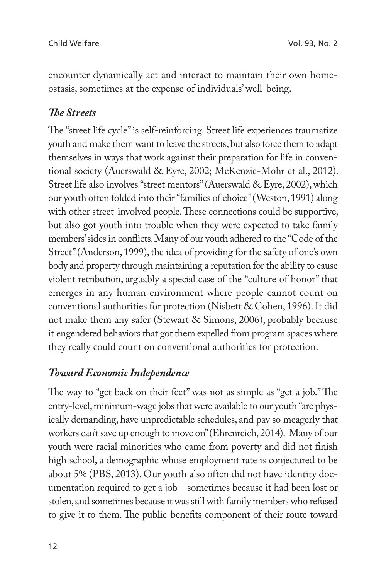encounter dynamically act and interact to maintain their own homeostasis, sometimes at the expense of individuals' well-being.

#### **The Streets**

The "street life cycle" is self-reinforcing. Street life experiences traumatize youth and make them want to leave the streets, but also force them to adapt themselves in ways that work against their preparation for life in conventional society (Auerswald & Eyre, 2002; McKenzie-Mohr et al., 2012). Street life also involves "street mentors" (Auerswald & Eyre, 2002), which our youth often folded into their "families of choice" (Weston, 1991) along with other street-involved people. These connections could be supportive, but also got youth into trouble when they were expected to take family members' sides in conflicts. Many of our youth adhered to the "Code of the Street" (Anderson, 1999), the idea of providing for the safety of one's own body and property through maintaining a reputation for the ability to cause violent retribution, arguably a special case of the "culture of honor" that emerges in any human environment where people cannot count on conventional authorities for protection (Nisbett & Cohen, 1996). It did not make them any safer (Stewart & Simons, 2006), probably because it engendered behaviors that got them expelled from program spaces where they really could count on conventional authorities for protection.

### *Toward Economic Independence*

The way to "get back on their feet" was not as simple as "get a job." The entry-level, minimum-wage jobs that were available to our youth "are physically demanding, have unpredictable schedules, and pay so meagerly that workers can't save up enough to move on" (Ehrenreich, 2014). Many of our youth were racial minorities who came from poverty and did not finish high school, a demographic whose employment rate is conjectured to be about 5% (PBS, 2013). Our youth also often did not have identity documentation required to get a job—sometimes because it had been lost or stolen, and sometimes because it was still with family members who refused to give it to them. The public-benefits component of their route toward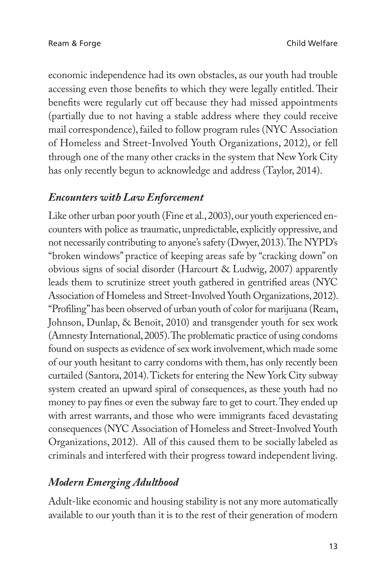economic independence had its own obstacles, as our youth had trouble accessing even those benefits to which they were legally entitled. Their benefits were regularly cut off because they had missed appointments (partially due to not having a stable address where they could receive mail correspondence), failed to follow program rules (NYC Association of Homeless and Street-Involved Youth Organizations, 2012), or fell through one of the many other cracks in the system that New York City has only recently begun to acknowledge and address (Taylor, 2014).

#### *Encounters with Law Enforcement*

Like other urban poor youth (Fine et al., 2003), our youth experienced encounters with police as traumatic, unpredictable, explicitly oppressive, and not necessarily contributing to anyone's safety (Dwyer, 2013). The NYPD's "broken windows" practice of keeping areas safe by "cracking down" on obvious signs of social disorder (Harcourt & Ludwig, 2007) apparently leads them to scrutinize street youth gathered in gentrified areas (NYC Association of Homeless and Street-Involved Youth Organizations, 2012). "Profiling" has been observed of urban youth of color for marijuana (Ream, Johnson, Dunlap, & Benoit, 2010) and transgender youth for sex work (Amnesty International, 2005). The problematic practice of using condoms found on suspects as evidence of sex work involvement, which made some of our youth hesitant to carry condoms with them, has only recently been curtailed (Santora, 2014). Tickets for entering the New York City subway system created an upward spiral of consequences, as these youth had no money to pay fines or even the subway fare to get to court. They ended up with arrest warrants, and those who were immigrants faced devastating consequences (NYC Association of Homeless and Street-Involved Youth Organizations, 2012). All of this caused them to be socially labeled as criminals and interfered with their progress toward independent living.

# *Modern Emerging Adulthood*

Adult-like economic and housing stability is not any more automatically available to our youth than it is to the rest of their generation of modern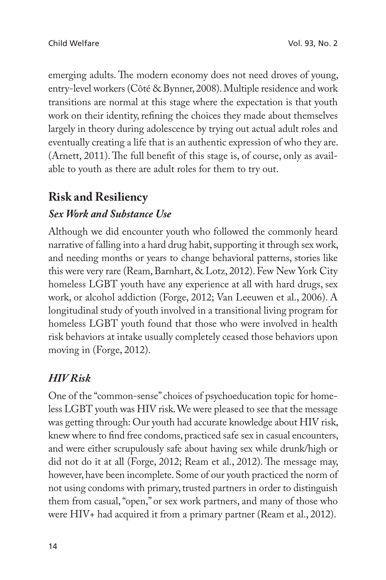emerging adults. The modern economy does not need droves of young, entry-level workers (Côté & Bynner, 2008). Multiple residence and work transitions are normal at this stage where the expectation is that youth work on their identity, refining the choices they made about themselves largely in theory during adolescence by trying out actual adult roles and eventually creating a life that is an authentic expression of who they are. (Arnett, 2011). The full benefit of this stage is, of course, only as available to youth as there are adult roles for them to try out.

# **Risk and Resiliency**

# *Sex Work and Substance Use*

Although we did encounter youth who followed the commonly heard narrative of falling into a hard drug habit, supporting it through sex work, and needing months or years to change behavioral patterns, stories like this were very rare (Ream, Barnhart, & Lotz, 2012). Few New York City homeless LGBT youth have any experience at all with hard drugs, sex work, or alcohol addiction (Forge, 2012; Van Leeuwen et al., 2006). A longitudinal study of youth involved in a transitional living program for homeless LGBT youth found that those who were involved in health risk behaviors at intake usually completely ceased those behaviors upon moving in (Forge, 2012).

# *HIV Risk*

One of the "common-sense" choices of psychoeducation topic for homeless LGBT youth was HIV risk. We were pleased to see that the message was getting through: Our youth had accurate knowledge about HIV risk, knew where to find free condoms, practiced safe sex in casual encounters, and were either scrupulously safe about having sex while drunk/high or did not do it at all (Forge, 2012; Ream et al., 2012). The message may, however, have been incomplete. Some of our youth practiced the norm of not using condoms with primary, trusted partners in order to distinguish them from casual, "open," or sex work partners, and many of those who were HIV+ had acquired it from a primary partner (Ream et al., 2012).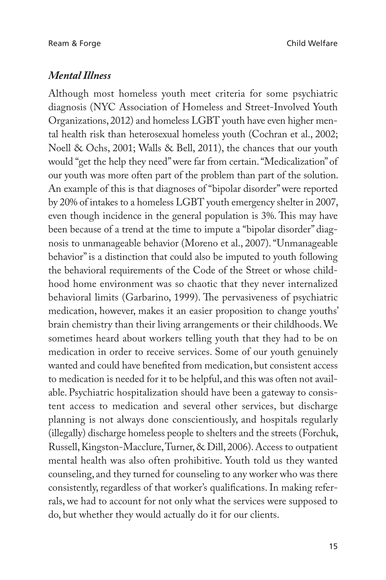#### *Mental Illness*

Although most homeless youth meet criteria for some psychiatric diagnosis (NYC Association of Homeless and Street-Involved Youth Organizations, 2012) and homeless LGBT youth have even higher mental health risk than heterosexual homeless youth (Cochran et al., 2002; Noell & Ochs, 2001; Walls & Bell, 2011), the chances that our youth would "get the help they need" were far from certain. "Medicalization" of our youth was more often part of the problem than part of the solution. An example of this is that diagnoses of "bipolar disorder" were reported by 20% of intakes to a homeless LGBT youth emergency shelter in 2007, even though incidence in the general population is 3%. This may have been because of a trend at the time to impute a "bipolar disorder" diagnosis to unmanageable behavior (Moreno et al., 2007). "Unmanageable behavior" is a distinction that could also be imputed to youth following the behavioral requirements of the Code of the Street or whose childhood home environment was so chaotic that they never internalized behavioral limits (Garbarino, 1999). The pervasiveness of psychiatric medication, however, makes it an easier proposition to change youths' brain chemistry than their living arrangements or their childhoods. We sometimes heard about workers telling youth that they had to be on medication in order to receive services. Some of our youth genuinely wanted and could have benefited from medication, but consistent access to medication is needed for it to be helpful, and this was often not available. Psychiatric hospitalization should have been a gateway to consistent access to medication and several other services, but discharge planning is not always done conscientiously, and hospitals regularly (illegally) discharge homeless people to shelters and the streets (Forchuk, Russell, Kingston-Macclure, Turner, & Dill, 2006). Access to outpatient mental health was also often prohibitive. Youth told us they wanted counseling, and they turned for counseling to any worker who was there consistently, regardless of that worker's qualifications. In making referrals, we had to account for not only what the services were supposed to do, but whether they would actually do it for our clients.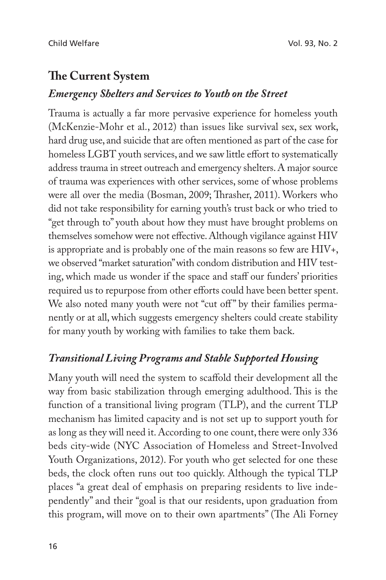# **The Current System**

#### *Emergency Shelters and Services to Youth on the Street*

Trauma is actually a far more pervasive experience for homeless youth (McKenzie-Mohr et al., 2012) than issues like survival sex, sex work, hard drug use, and suicide that are often mentioned as part of the case for homeless LGBT youth services, and we saw little effort to systematically address trauma in street outreach and emergency shelters. A major source of trauma was experiences with other services, some of whose problems were all over the media (Bosman, 2009; Thrasher, 2011). Workers who did not take responsibility for earning youth's trust back or who tried to "get through to" youth about how they must have brought problems on themselves somehow were not effective. Although vigilance against HIV is appropriate and is probably one of the main reasons so few are HIV+, we observed "market saturation" with condom distribution and HIV testing, which made us wonder if the space and staff our funders' priorities required us to repurpose from other efforts could have been better spent. We also noted many youth were not "cut off" by their families permanently or at all, which suggests emergency shelters could create stability for many youth by working with families to take them back.

#### *Transitional Living Programs and Stable Supported Housing*

Many youth will need the system to scaffold their development all the way from basic stabilization through emerging adulthood. This is the function of a transitional living program (TLP), and the current TLP mechanism has limited capacity and is not set up to support youth for as long as they will need it. According to one count, there were only 336 beds city-wide (NYC Association of Homeless and Street-Involved Youth Organizations, 2012). For youth who get selected for one these beds, the clock often runs out too quickly. Although the typical TLP places "a great deal of emphasis on preparing residents to live independently" and their "goal is that our residents, upon graduation from this program, will move on to their own apartments" (The Ali Forney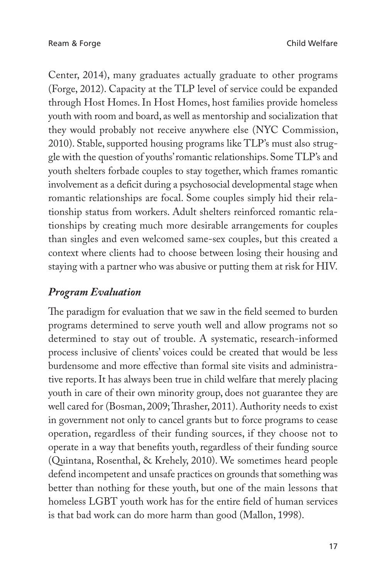Center, 2014), many graduates actually graduate to other programs (Forge, 2012). Capacity at the TLP level of service could be expanded through Host Homes. In Host Homes, host families provide homeless youth with room and board, as well as mentorship and socialization that they would probably not receive anywhere else (NYC Commission, 2010). Stable, supported housing programs like TLP's must also struggle with the question of youths' romantic relationships. Some TLP's and youth shelters forbade couples to stay together, which frames romantic involvement as a deficit during a psychosocial developmental stage when romantic relationships are focal. Some couples simply hid their relationship status from workers. Adult shelters reinforced romantic relationships by creating much more desirable arrangements for couples than singles and even welcomed same-sex couples, but this created a context where clients had to choose between losing their housing and staying with a partner who was abusive or putting them at risk for HIV.

#### *Program Evaluation*

The paradigm for evaluation that we saw in the field seemed to burden programs determined to serve youth well and allow programs not so determined to stay out of trouble. A systematic, research-informed process inclusive of clients' voices could be created that would be less burdensome and more effective than formal site visits and administrative reports. It has always been true in child welfare that merely placing youth in care of their own minority group, does not guarantee they are well cared for (Bosman, 2009; Thrasher, 2011). Authority needs to exist in government not only to cancel grants but to force programs to cease operation, regardless of their funding sources, if they choose not to operate in a way that benefits youth, regardless of their funding source (Quintana, Rosenthal, & Krehely, 2010). We sometimes heard people defend incompetent and unsafe practices on grounds that something was better than nothing for these youth, but one of the main lessons that homeless LGBT youth work has for the entire field of human services is that bad work can do more harm than good (Mallon, 1998).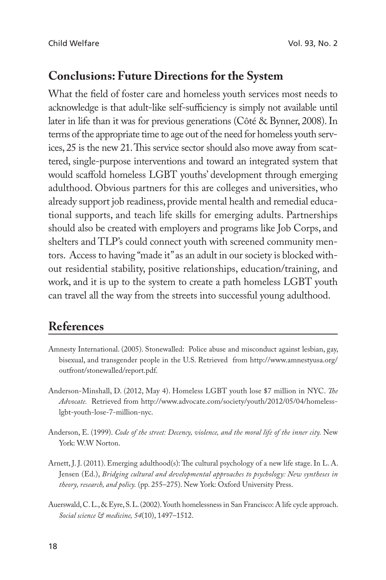## **Conclusions: Future Directions for the System**

What the field of foster care and homeless youth services most needs to acknowledge is that adult-like self-sufficiency is simply not available until later in life than it was for previous generations (Côté & Bynner, 2008). In terms of the appropriate time to age out of the need for homeless youth services, 25 is the new 21. This service sector should also move away from scattered, single-purpose interventions and toward an integrated system that would scaffold homeless LGBT youths' development through emerging adulthood. Obvious partners for this are colleges and universities, who already support job readiness, provide mental health and remedial educational supports, and teach life skills for emerging adults. Partnerships should also be created with employers and programs like Job Corps, and shelters and TLP's could connect youth with screened community mentors. Access to having "made it" as an adult in our society is blocked without residential stability, positive relationships, education/training, and work, and it is up to the system to create a path homeless LGBT youth can travel all the way from the streets into successful young adulthood.

# **References**

- Amnesty International. (2005). Stonewalled: Police abuse and misconduct against lesbian, gay, bisexual, and transgender people in the U.S. Retrieved from http://www.amnestyusa.org/ outfront/stonewalled/report.pdf.
- Anderson-Minshall, D. (2012, May 4). Homeless LGBT youth lose \$7 million in NYC. *The Advocate.* Retrieved from http://www.advocate.com/society/youth/2012/05/04/homelesslgbt-youth-lose-7-million-nyc.
- Anderson, E. (1999). *Code of the street: Decency, violence, and the moral life of the inner city*. New York: W.W Norton.
- Arnett, J. J. (2011). Emerging adulthood(s): The cultural psychology of a new life stage. In L. A. Jensen (Ed.), *Bridging cultural and developmental approaches to psychology: New syntheses in theory, research, and policy.* (pp. 255–275). New York: Oxford University Press.
- Auerswald, C. L., & Eyre, S. L. (2002). Youth homelessness in San Francisco: A life cycle approach. *Social science & medicine, 54*(10), 1497–1512.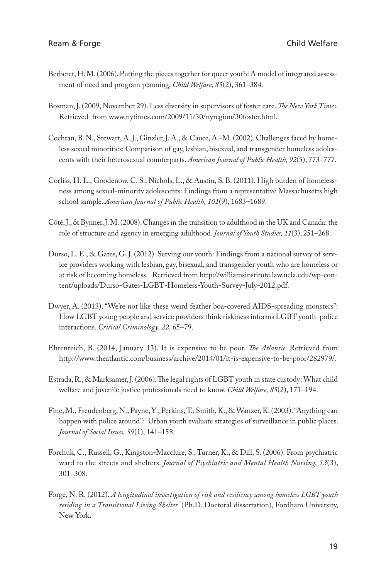- Berberet, H. M. (2006). Putting the pieces together for queer youth: A model of integrated assessment of need and program planning. *Child Welfare, 85*(2), 361–384.
- Bosman, J. (2009, November 29). Less diversity in supervisors of foster care. The New York Times. Retrieved from www.nytimes.com/2009/11/30/nyregion/30foster.html.
- Cochran, B. N., Stewart, A. J., Ginzler, J. A., & Cauce, A.-M. (2002). Challenges faced by homeless sexual minorities: Comparison of gay, lesbian, bisexual, and transgender homeless adolescents with their heterosexual counterparts. *American Journal of Public Health, 92*(5), 773–777.
- Corliss, H. L., Goodenow, C. S., Nichols, L., & Austin, S. B. (2011). High burden of homelessness among sexual-minority adolescents: Findings from a representative Massachusetts high school sample. *American Journal of Public Health, 101*(9), 1683–1689.
- Côté, J., & Bynner, J. M. (2008). Changes in the transition to adulthood in the UK and Canada: the role of structure and agency in emerging adulthood. *Journal of Youth Studies, 11*(3), 251–268.
- Durso, L. E., & Gates, G. J. (2012). Serving our youth: Findings from a national survey of service providers working with lesbian, gay, bisexual, and transgender youth who are homeless or at risk of becoming homeless. Retrieved from http://williamsinstitute.law.ucla.edu/wp-content/uploads/Durso-Gates-LGBT-Homeless-Youth-Survey-July-2012.pdf.
- Dwyer, A. (2013). "We're not like these weird feather boa-covered AIDS-spreading monsters": How LGBT young people and service providers think riskiness informs LGBT youth–police interactions. *Critical Criminology, 22,* 65–79.
- Ehrenreich, B. (2014, January 13). It is expensive to be poor. *The Atlantic*. Retrieved from http://www.theatlantic.com/business/archive/2014/01/it-is-expensive-to-be-poor/282979/.
- Estrada, R., & Marksamer, J. (2006). The legal rights of LGBT youth in state custody: What child welfare and juvenile justice professionals need to know. *Child Welfare, 85*(2), 171–194.
- Fine, M., Freudenberg, N., Payne, Y., Perkins, T., Smith, K., & Wanzer, K. (2003). "Anything can happen with police around": Urban youth evaluate strategies of surveillance in public places. *Journal of Social Issues, 59*(1), 141–158.
- Forchuk, C., Russell, G., Kingston-Macclure, S., Turner, K., & Dill, S. (2006). From psychiatric ward to the streets and shelters. *Journal of Psychiatric and Mental Health Nursing, 13*(3), 301–308.
- Forge, N. R. (2012). *A longitudinal investigation of risk and resiliency among homeless LGBT youth residing in a Transitional Living Shelter.* (Ph.D. Doctoral dissertation), Fordham University, New York.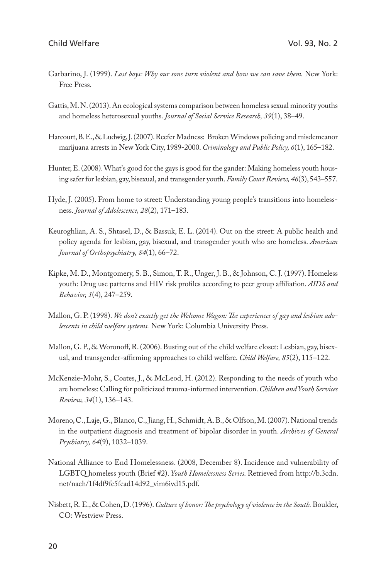- Garbarino, J. (1999). *Lost boys: Why our sons turn violent and how we can save them.* New York: Free Press.
- Gattis, M. N. (2013). An ecological systems comparison between homeless sexual minority youths and homeless heterosexual youths. *Journal of Social Service Research, 39*(1), 38–49.
- Harcourt, B. E., & Ludwig, J. (2007). Reefer Madness: Broken Windows policing and misdemeanor marijuana arrests in New York City, 1989-2000. *Criminology and Public Policy, 6*(1), 165–182.
- Hunter, E. (2008). What's good for the gays is good for the gander: Making homeless youth housing safer for lesbian, gay, bisexual, and transgender youth. *Family Court Review, 46*(3), 543–557.
- Hyde, J. (2005). From home to street: Understanding young people's transitions into homelessness. *Journal of Adolescence, 28*(2), 171–183.
- Keuroghlian, A. S., Shtasel, D., & Bassuk, E. L. (2014). Out on the street: A public health and policy agenda for lesbian, gay, bisexual, and transgender youth who are homeless. *American Journal of Orthopsychiatry, 84*(1), 66–72.
- Kipke, M. D., Montgomery, S. B., Simon, T. R., Unger, J. B., & Johnson, C. J. (1997). Homeless youth: Drug use patterns and HIV risk profiles according to peer group affiliation. *AIDS and Behavior, 1*(4), 247–259.
- Mallon, G. P. (1998). We don't exactly get the Welcome Wagon: The experiences of gay and lesbian ado*lescents in child welfare systems.* New York: Columbia University Press.
- Mallon, G. P., & Woronoff, R. (2006). Busting out of the child welfare closet: Lesbian, gay, bisexual, and transgender-affirming approaches to child welfare. *Child Welfare*, 85(2), 115-122.
- McKenzie-Mohr, S., Coates, J., & McLeod, H. (2012). Responding to the needs of youth who are homeless: Calling for politicized trauma-informed intervention. *Children and Youth Services Review, 34*(1), 136–143.
- Moreno, C., Laje, G., Blanco, C., Jiang, H., Schmidt, A. B., & Olfson, M. (2007). National trends in the outpatient diagnosis and treatment of bipolar disorder in youth. *Archives of General Psychiatry, 64*(9), 1032–1039.
- National Alliance to End Homelessness. (2008, December 8). Incidence and vulnerability of LGBTQ homeless youth (Brief #2). *Youth Homelessness Series.* Retrieved from http://b.3cdn. net/naeh/1f4df9fc5fcad14d92\_vim6ivd15.pdf.
- Nisbett, R. E., & Cohen, D. (1996). *Culture of honor: The psychology of violence in the South.* Boulder, CO: Westview Press.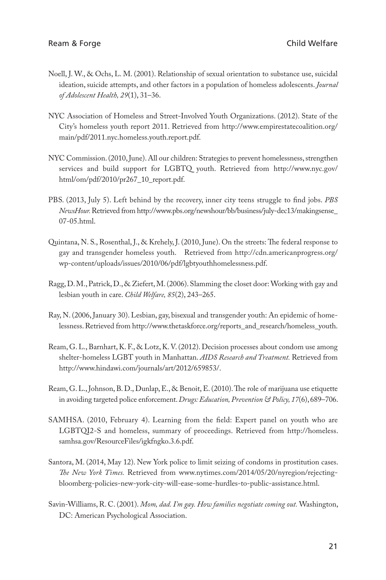- Noell, J. W., & Ochs, L. M. (2001). Relationship of sexual orientation to substance use, suicidal ideation, suicide attempts, and other factors in a population of homeless adolescents. *Journal of Adolescent Health, 29*(1), 31–36.
- NYC Association of Homeless and Street-Involved Youth Organizations. (2012). State of the City's homeless youth report 2011. Retrieved from http://www.empirestatecoalition.org/ main/pdf/2011.nyc.homeless.youth.report.pdf.
- NYC Commission. (2010, June). All our children: Strategies to prevent homelessness, strengthen services and build support for LGBTQ youth. Retrieved from http://www.nyc.gov/ html/om/pdf/2010/pr267\_10\_report.pdf.
- PBS. (2013, July 5). Left behind by the recovery, inner city teens struggle to #nd jobs. *PBS NewsHour.* Retrieved from http://www.pbs.org/newshour/bb/business/july-dec13/makingsense\_ 07-05.html.
- Quintana, N. S., Rosenthal, J., & Krehely, J. (2010, June). On the streets: The federal response to gay and transgender homeless youth. Retrieved from http://cdn.americanprogress.org/ wp-content/uploads/issues/2010/06/pdf/lgbtyouthhomelessness.pdf.
- Ragg, D. M., Patrick, D., & Ziefert, M. (2006). Slamming the closet door: Working with gay and lesbian youth in care. *Child Welfare, 85*(2), 243–265.
- Ray, N. (2006, January 30). Lesbian, gay, bisexual and transgender youth: An epidemic of homelessness. Retrieved from http://www.thetaskforce.org/reports\_and\_research/homeless\_youth.
- Ream, G. L., Barnhart, K. F., & Lotz, K. V. (2012). Decision processes about condom use among shelter-homeless LGBT youth in Manhattan. *AIDS Research and Treatment.* Retrieved from http://www.hindawi.com/journals/art/2012/659853/.
- Ream, G. L., Johnson, B. D., Dunlap, E., & Benoit, E. (2010). The role of marijuana use etiquette in avoiding targeted police enforcement. *Drugs: Education, Prevention & Policy, 17*(6), 689–706.
- SAMHSA. (2010, February 4). Learning from the field: Expert panel on youth who are LGBTQI2-S and homeless, summary of proceedings. Retrieved from http://homeless. samhsa.gov/ResourceFiles/igkfngko.3.6.pdf.
- Santora, M. (2014, May 12). New York police to limit seizing of condoms in prostitution cases. *The New York Times.* Retrieved from www.nytimes.com/2014/05/20/nyregion/rejectingbloomberg-policies-new-york-city-will-ease-some-hurdles-to-public-assistance.html.
- Savin-Williams, R. C. (2001). *Mom, dad. I'm gay. How families negotiate coming out.* Washington, DC: American Psychological Association.